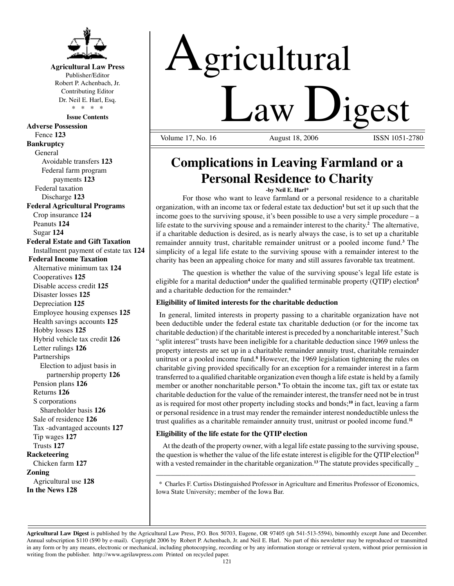

**Agricultural Law Press** Publisher/Editor Robert P. Achenbach, Jr. Contributing Editor Dr. Neil E. Harl, Esq. \* \* \* \*

**Issue Contents**

**Adverse Possession** Fence **123 Bankruptcy** General Avoidable transfers **123** Federal farm program payments **123** Federal taxation Discharge **123 Federal Agricultural Programs** Crop insurance **124** Peanuts **124** Sugar **124 Federal Estate and Gift Taxation** Installment payment of estate tax **124 Federal Income Taxation** Alternative minimum tax **124** Cooperatives **125** Disable access credit **125** Disaster losses **125** Depreciation **125** Employee housing expenses **125** Health savings accounts **125** Hobby losses **125** Hybrid vehicle tax credit **126** Letter rulings **126** Partnerships Election to adjust basis in partnership property **126** Pension plans **126** Returns **126** S corporations Shareholder basis **126** Sale of residence **126** Tax -advantaged accounts **127** Tip wages **127** Trusts **127 Racketeering** Chicken farm **127 Zoning** Agricultural use **128 In the News 128**

# Agricultural Law Digest

Volume 17, No. 16

## **Complications in Leaving Farmland or a Personal Residence to Charity**

#### **-by Neil E. Harl\***

For those who want to leave farmland or a personal residence to a charitable organization, with an income tax or federal estate tax deduction**<sup>1</sup>** but set it up such that the income goes to the surviving spouse, it's been possible to use a very simple procedure – a life estate to the surviving spouse and a remainder interest to the charity.**<sup>2</sup>** The alternative, if a charitable deduction is desired, as is nearly always the case, is to set up a charitable remainder annuity trust, charitable remainder unitrust or a pooled income fund.**<sup>3</sup>** The simplicity of a legal life estate to the surviving spouse with a remainder interest to the charity has been an appealing choice for many and still assures favorable tax treatment.

The question is whether the value of the surviving spouse's legal life estate is eligible for a marital deduction<sup>4</sup> under the qualified terminable property (QTIP) election<sup>5</sup> and a charitable deduction for the remainder.**<sup>6</sup>**

#### **Eligibility of limited interests for the charitable deduction**

In general, limited interests in property passing to a charitable organization have not been deductible under the federal estate tax charitable deduction (or for the income tax charitable deduction) if the charitable interest is preceded by a noncharitable interest.**<sup>7</sup>** Such "split interest" trusts have been ineligible for a charitable deduction since 1969 unless the property interests are set up in a charitable remainder annuity trust, charitable remainder unitrust or a pooled income fund.**<sup>8</sup>** However, the 1969 legislation tightening the rules on charitable giving provided specifically for an exception for a remainder interest in a farm transferred to a qualified charitable organization even though a life estate is held by a family member or another noncharitable person.**<sup>9</sup>** To obtain the income tax, gift tax or estate tax charitable deduction for the value of the remainder interest, the transfer need not be in trust as is required for most other property including stocks and bonds;**<sup>10</sup>** in fact, leaving a farm or personal residence in a trust may render the remainder interest nondeductible unless the trust qualifies as a charitable remainder annuity trust, unitrust or pooled income fund.**<sup>11</sup>**

### **Eligibility of the life estate for the QTIP election**

At the death of the property owner, with a legal life estate passing to the surviving spouse, the question is whether the value of the life estate interest is eligible for the QTIP election**<sup>12</sup>** with a vested remainder in the charitable organization.**<sup>13</sup>** The statute provides specifically \_

 \* Charles F. Curtiss Distinguished Professor in Agriculture and Emeritus Professor of Economics, Iowa State University; member of the Iowa Bar.

\_\_\_\_\_\_\_\_\_\_\_\_\_\_\_\_\_\_\_\_\_\_\_\_\_\_\_\_\_\_\_\_\_\_\_\_\_\_\_\_\_\_\_\_\_\_\_\_\_\_\_\_\_\_\_\_\_\_\_\_\_\_\_\_\_\_\_\_\_\_

**Agricultural Law Digest** is published by the Agricultural Law Press, P.O. Box 50703, Eugene, OR 97405 (ph 541-513-5594), bimonthly except June and December. Annual subscription \$110 (\$90 by e-mail). Copyright 2006 by Robert P. Achenbach, Jr. and Neil E. Harl. No part of this newsletter may be reproduced or transmitted in any form or by any means, electronic or mechanical, including photocopying, recording or by any information storage or retrieval system, without prior permission in writing from the publisher. http://www.agrilawpress.com Printed on recycled paper.